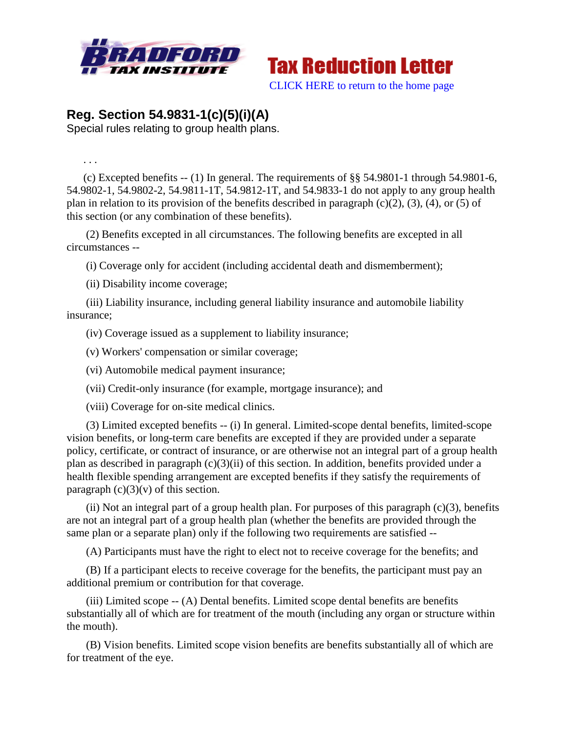



## **Reg. Section 54.9831-1(c)(5)(i)(A)**

Special rules relating to group health plans.

. . .

(c) Excepted benefits  $-$  (1) In general. The requirements of  $\S$ § 54.9801-1 through 54.9801-6, 54.9802-1, 54.9802-2, 54.9811-1T, 54.9812-1T, and 54.9833-1 do not apply to any group health plan in relation to its provision of the benefits described in paragraph  $(c)(2)$ ,  $(3)$ ,  $(4)$ , or  $(5)$  of this section (or any combination of these benefits).

(2) Benefits excepted in all circumstances. The following benefits are excepted in all circumstances --

(i) Coverage only for accident (including accidental death and dismemberment);

(ii) Disability income coverage;

(iii) Liability insurance, including general liability insurance and automobile liability insurance;

(iv) Coverage issued as a supplement to liability insurance;

(v) Workers' compensation or similar coverage;

(vi) Automobile medical payment insurance;

(vii) Credit-only insurance (for example, mortgage insurance); and

(viii) Coverage for on-site medical clinics.

(3) Limited excepted benefits -- (i) In general. Limited-scope dental benefits, limited-scope vision benefits, or long-term care benefits are excepted if they are provided under a separate policy, certificate, or contract of insurance, or are otherwise not an integral part of a group health plan as described in paragraph (c)(3)(ii) of this section. In addition, benefits provided under a health flexible spending arrangement are excepted benefits if they satisfy the requirements of paragraph  $(c)(3)(v)$  of this section.

(ii) Not an integral part of a group health plan. For purposes of this paragraph  $(c)(3)$ , benefits are not an integral part of a group health plan (whether the benefits are provided through the same plan or a separate plan) only if the following two requirements are satisfied --

(A) Participants must have the right to elect not to receive coverage for the benefits; and

(B) If a participant elects to receive coverage for the benefits, the participant must pay an additional premium or contribution for that coverage.

(iii) Limited scope -- (A) Dental benefits. Limited scope dental benefits are benefits substantially all of which are for treatment of the mouth (including any organ or structure within the mouth).

(B) Vision benefits. Limited scope vision benefits are benefits substantially all of which are for treatment of the eye.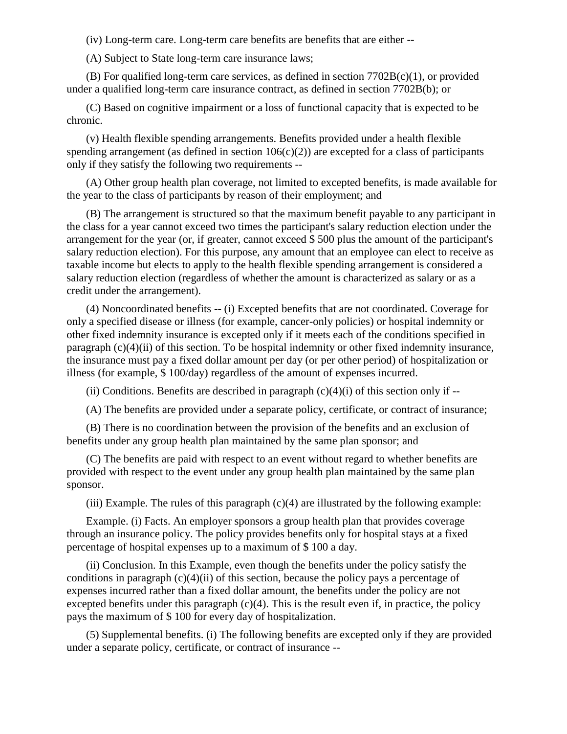(iv) Long-term care. Long-term care benefits are benefits that are either --

(A) Subject to State long-term care insurance laws;

(B) For qualified long-term care services, as defined in section 7702B(c)(1), or provided under a qualified long-term care insurance contract, as defined in section 7702B(b); or

(C) Based on cognitive impairment or a loss of functional capacity that is expected to be chronic.

(v) Health flexible spending arrangements. Benefits provided under a health flexible spending arrangement (as defined in section  $106(c)(2)$ ) are excepted for a class of participants only if they satisfy the following two requirements --

(A) Other group health plan coverage, not limited to excepted benefits, is made available for the year to the class of participants by reason of their employment; and

(B) The arrangement is structured so that the maximum benefit payable to any participant in the class for a year cannot exceed two times the participant's salary reduction election under the arrangement for the year (or, if greater, cannot exceed \$ 500 plus the amount of the participant's salary reduction election). For this purpose, any amount that an employee can elect to receive as taxable income but elects to apply to the health flexible spending arrangement is considered a salary reduction election (regardless of whether the amount is characterized as salary or as a credit under the arrangement).

(4) Noncoordinated benefits -- (i) Excepted benefits that are not coordinated. Coverage for only a specified disease or illness (for example, cancer-only policies) or hospital indemnity or other fixed indemnity insurance is excepted only if it meets each of the conditions specified in paragraph (c)(4)(ii) of this section. To be hospital indemnity or other fixed indemnity insurance, the insurance must pay a fixed dollar amount per day (or per other period) of hospitalization or illness (for example, \$ 100/day) regardless of the amount of expenses incurred.

(ii) Conditions. Benefits are described in paragraph  $(c)(4)(i)$  of this section only if  $-$ 

(A) The benefits are provided under a separate policy, certificate, or contract of insurance;

(B) There is no coordination between the provision of the benefits and an exclusion of benefits under any group health plan maintained by the same plan sponsor; and

(C) The benefits are paid with respect to an event without regard to whether benefits are provided with respect to the event under any group health plan maintained by the same plan sponsor.

(iii) Example. The rules of this paragraph  $(c)(4)$  are illustrated by the following example:

Example. (i) Facts. An employer sponsors a group health plan that provides coverage through an insurance policy. The policy provides benefits only for hospital stays at a fixed percentage of hospital expenses up to a maximum of \$ 100 a day.

(ii) Conclusion. In this Example, even though the benefits under the policy satisfy the conditions in paragraph  $(c)(4)(ii)$  of this section, because the policy pays a percentage of expenses incurred rather than a fixed dollar amount, the benefits under the policy are not excepted benefits under this paragraph  $(c)(4)$ . This is the result even if, in practice, the policy pays the maximum of \$ 100 for every day of hospitalization.

(5) Supplemental benefits. (i) The following benefits are excepted only if they are provided under a separate policy, certificate, or contract of insurance --